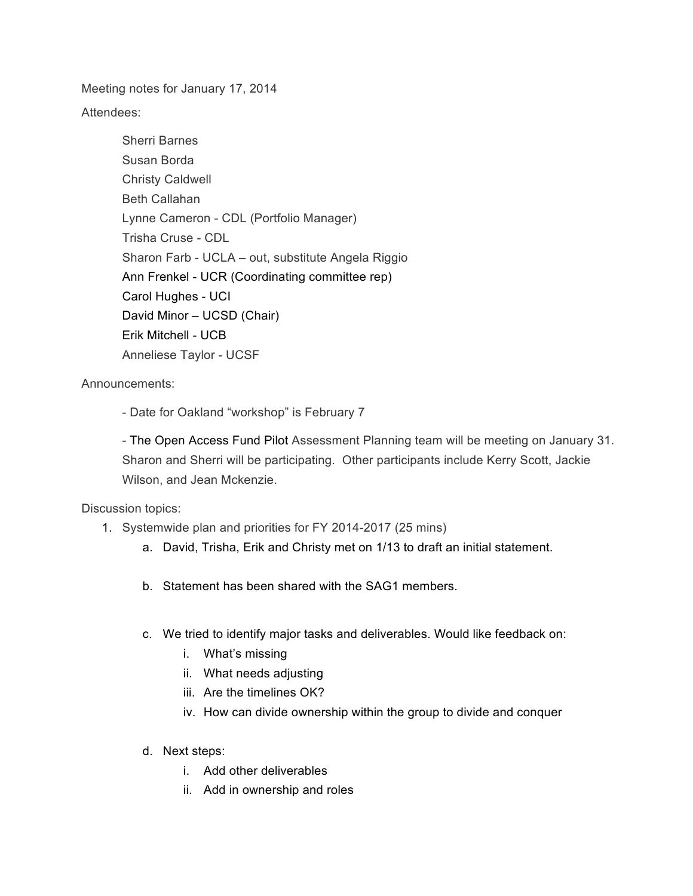Meeting notes for January 17, 2014

Attendees:

Sherri Barnes Susan Borda Christy Caldwell Beth Callahan Lynne Cameron - CDL (Portfolio Manager) Trisha Cruse - CDL Sharon Farb - UCLA – out, substitute Angela Riggio Ann Frenkel - UCR (Coordinating committee rep) Carol Hughes - UCI David Minor – UCSD (Chair) Erik Mitchell - UCB Anneliese Taylor - UCSF

Announcements:

- Date for Oakland "workshop" is February 7

- The Open Access Fund Pilot Assessment Planning team will be meeting on January 31. Sharon and Sherri will be participating. Other participants include Kerry Scott, Jackie Wilson, and Jean Mckenzie.

Discussion topics:

- 1. Systemwide plan and priorities for FY 2014-2017 (25 mins)
	- a. David, Trisha, Erik and Christy met on 1/13 to draft an initial statement.
	- b. Statement has been shared with the SAG1 members.
	- c. We tried to identify major tasks and deliverables. Would like feedback on:
		- i. What's missing
		- ii. What needs adjusting
		- iii. Are the timelines OK?
		- iv. How can divide ownership within the group to divide and conquer
	- d. Next steps:
		- i. Add other deliverables
		- ii. Add in ownership and roles